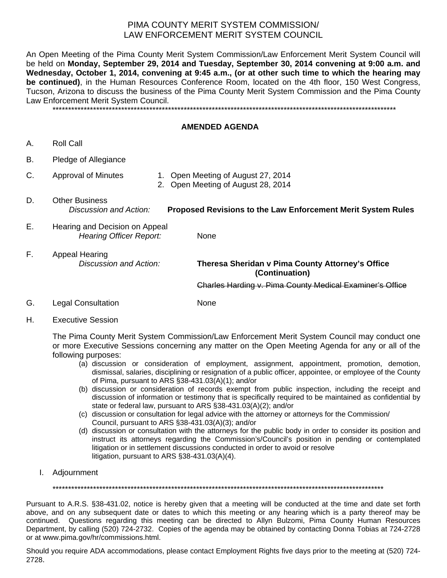## PIMA COUNTY MERIT SYSTEM COMMISSION/ LAW ENFORCEMENT MERIT SYSTEM COUNCIL

An Open Meeting of the Pima County Merit System Commission/Law Enforcement Merit System Council will be held on **Monday, September 29, 2014 and Tuesday, September 30, 2014 convening at 9:00 a.m. and Wednesday, October 1, 2014, convening at 9:45 a.m., (or at other such time to which the hearing may be continued)**, in the Human Resources Conference Room, located on the 4th floor, 150 West Congress, Tucson, Arizona to discuss the business of the Pima County Merit System Commission and the Pima County Law Enforcement Merit System Council.

\*\*\*\*\*\*\*\*\*\*\*\*\*\*\*\*\*\*\*\*\*\*\*\*\*\*\*\*\*\*\*\*\*\*\*\*\*\*\*\*\*\*\*\*\*\*\*\*\*\*\*\*\*\*\*\*\*\*\*\*\*\*\*\*\*\*\*\*\*\*\*\*\*\*\*\*\*\*\*\*\*\*\*\*\*\*\*\*\*\*\*\*\*\*\*\*\*\*\*\*\*\*\*\*\*\*\*\*\*\*

## **AMENDED AGENDA**

- A. Roll Call
- B. Pledge of Allegiance
- C. Approval of Minutes 1. Open Meeting of August 27, 2014
	- 2. Open Meeting of August 28, 2014
- D. Other Business *Discussion and Action:* **Proposed Revisions to the Law Enforcement Merit System Rules**
- E. Hearing and Decision on Appeal **Hearing Officer Report:** None

F. Appeal Hearing

 *Discussion and Action:* **Theresa Sheridan v Pima County Attorney's Office (Continuation)** 

**Charles Harding v. Pima County Medical Examiner's Office** 

- G. Legal Consultation None
- H. Executive Session

The Pima County Merit System Commission/Law Enforcement Merit System Council may conduct one or more Executive Sessions concerning any matter on the Open Meeting Agenda for any or all of the following purposes:

- (a) discussion or consideration of employment, assignment, appointment, promotion, demotion, dismissal, salaries, disciplining or resignation of a public officer, appointee, or employee of the County of Pima, pursuant to ARS §38-431.03(A)(1); and/or
- (b) discussion or consideration of records exempt from public inspection, including the receipt and discussion of information or testimony that is specifically required to be maintained as confidential by state or federal law, pursuant to ARS §38-431.03(A)(2); and/or
- (c) discussion or consultation for legal advice with the attorney or attorneys for the Commission/ Council, pursuant to ARS §38-431.03(A)(3); and/or
- (d) discussion or consultation with the attorneys for the public body in order to consider its position and instruct its attorneys regarding the Commission's/Council's position in pending or contemplated litigation or in settlement discussions conducted in order to avoid or resolve litigation, pursuant to ARS §38-431.03(A)(4).
- I. Adjournment

\*\*\*\*\*\*\*\*\*\*\*\*\*\*\*\*\*\*\*\*\*\*\*\*\*\*\*\*\*\*\*\*\*\*\*\*\*\*\*\*\*\*\*\*\*\*\*\*\*\*\*\*\*\*\*\*\*\*\*\*\*\*\*\*\*\*\*\*\*\*\*\*\*\*\*\*\*\*\*\*\*\*\*\*\*\*\*\*\*\*\*\*\*\*\*\*\*\*\*\*\*\*\*\*\*\*

Pursuant to A.R.S. §38-431.02, notice is hereby given that a meeting will be conducted at the time and date set forth above, and on any subsequent date or dates to which this meeting or any hearing which is a party thereof may be continued. Questions regarding this meeting can be directed to Allyn Bulzomi, Pima County Human Resources Department, by calling (520) 724-2732. Copies of the agenda may be obtained by contacting Donna Tobias at 724-2728 or at www.pima.gov/hr/commissions.html.

Should you require ADA accommodations, please contact Employment Rights five days prior to the meeting at (520) 724- 2728.